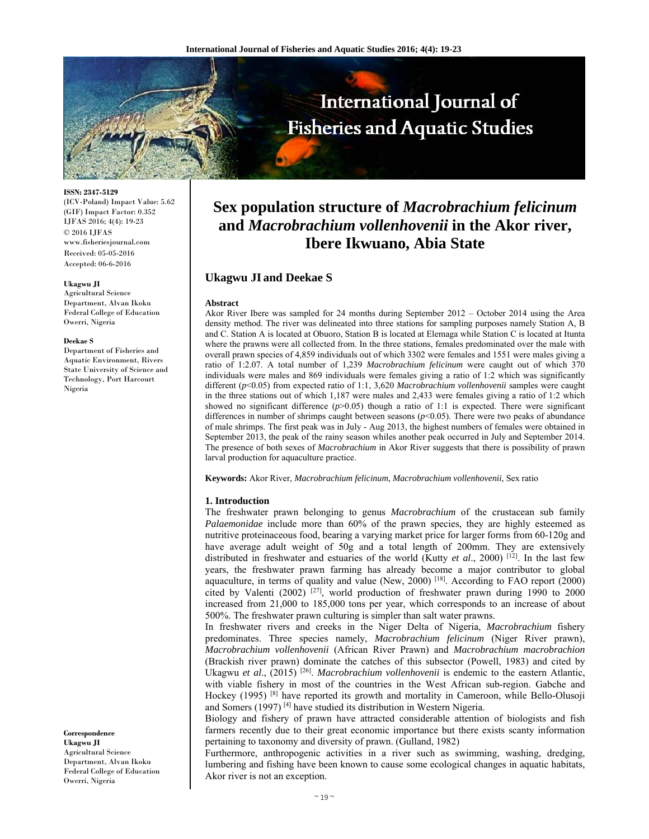

**ISSN: 2347-5129** 

(ICV-Poland) Impact Value: 5.62 (GIF) Impact Factor: 0.352 IJFAS 2016; 4(4): 19-23 © 2016 IJFAS www.fisheriesjournal.com Received: 05-05-2016 Accepted: 06-6-2016

#### **Ukagwu JI**

Agricultural Science Department, Alvan Ikoku Federal College of Education Owerri, Nigeria

#### **Deekae S**

Department of Fisheries and Aquatic Environment, Rivers State University of Science and Technology, Port Harcourt Nigeria

**Correspondence Ukagwu JI**  Agricultural Science Department, Alvan Ikoku Federal College of Education Owerri, Nigeria

# **Sex population structure of** *Macrobrachium felicinum* **and** *Macrobrachium vollenhovenii* **in the Akor river, Ibere Ikwuano, Abia State**

# **Ukagwu JI and Deekae S**

### **Abstract**

Akor River Ibere was sampled for 24 months during September 2012 – October 2014 using the Area density method. The river was delineated into three stations for sampling purposes namely Station A, B and C. Station A is located at Obuoro, Station B is located at Elemaga while Station C is located at Itunta where the prawns were all collected from. In the three stations, females predominated over the male with overall prawn species of 4,859 individuals out of which 3302 were females and 1551 were males giving a ratio of 1:2.07. A total number of 1,239 *Macrobrachium felicinum* were caught out of which 370 individuals were males and 869 individuals were females giving a ratio of 1:2 which was significantly different (*p*<0.05) from expected ratio of 1:1, 3,620 *Macrobrachium vollenhovenii* samples were caught in the three stations out of which 1,187 were males and 2,433 were females giving a ratio of 1:2 which showed no significant difference  $(p>0.05)$  though a ratio of 1:1 is expected. There were significant differences in number of shrimps caught between seasons (*p*<0.05). There were two peaks of abundance of male shrimps. The first peak was in July - Aug 2013, the highest numbers of females were obtained in September 2013, the peak of the rainy season whiles another peak occurred in July and September 2014. The presence of both sexes of *Macrobrachium* in Akor River suggests that there is possibility of prawn larval production for aquaculture practice.

**Keywords:** Akor River, *Macrobrachium felicinum*, *Macrobrachium vollenhovenii*, Sex ratio

## **1. Introduction**

The freshwater prawn belonging to genus *Macrobrachium* of the crustacean sub family *Palaemonidae* include more than 60% of the prawn species, they are highly esteemed as nutritive proteinaceous food, bearing a varying market price for larger forms from 60-120g and have average adult weight of 50g and a total length of 200mm. They are extensively distributed in freshwater and estuaries of the world (Kutty *et al*., 2000) [12]. In the last few years, the freshwater prawn farming has already become a major contributor to global aquaculture, in terms of quality and value (New, 2000) [18]. According to FAO report (2000) cited by Valenti (2002)  $[27]$ , world production of freshwater prawn during 1990 to 2000 increased from 21,000 to 185,000 tons per year, which corresponds to an increase of about 500%. The freshwater prawn culturing is simpler than salt water prawns.

In freshwater rivers and creeks in the Niger Delta of Nigeria, *Macrobrachium* fishery predominates. Three species namely, *Macrobrachium felicinum* (Niger River prawn), *Macrobrachium vollenhovenii* (African River Prawn) and *Macrobrachium macrobrachion* (Brackish river prawn) dominate the catches of this subsector (Powell, 1983) and cited by Ukagwu *et al*., (2015) [26]. *Macrobrachium vollenhovenii* is endemic to the eastern Atlantic, with viable fishery in most of the countries in the West African sub-region. Gabche and Hockey (1995) [8] have reported its growth and mortality in Cameroon, while Bello-Olusoji and Somers (1997) [4] have studied its distribution in Western Nigeria.

Biology and fishery of prawn have attracted considerable attention of biologists and fish farmers recently due to their great economic importance but there exists scanty information pertaining to taxonomy and diversity of prawn. (Gulland, 1982)

Furthermore, anthropogenic activities in a river such as swimming, washing, dredging, lumbering and fishing have been known to cause some ecological changes in aquatic habitats, Akor river is not an exception.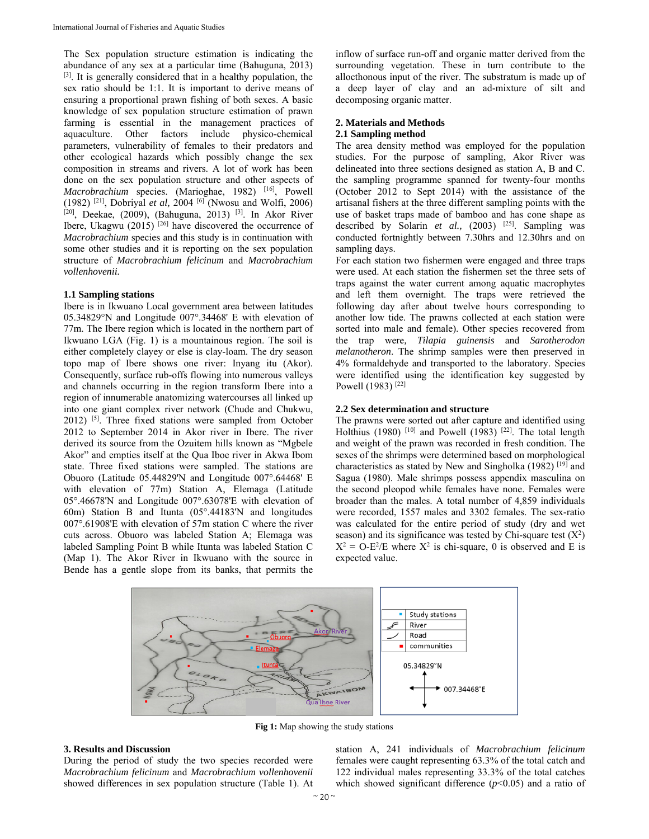The Sex population structure estimation is indicating the abundance of any sex at a particular time (Bahuguna, 2013) [3]. It is generally considered that in a healthy population, the sex ratio should be 1:1. It is important to derive means of ensuring a proportional prawn fishing of both sexes. A basic knowledge of sex population structure estimation of prawn farming is essential in the management practices of aquaculture. Other factors include physico-chemical parameters, vulnerability of females to their predators and other ecological hazards which possibly change the sex composition in streams and rivers. A lot of work has been done on the sex population structure and other aspects of *Macrobrachium* species. (Marioghae, 1982) <sup>[16]</sup>, Powell (1982) [21], Dobriyal *et al,* 2004 [6] (Nwosu and Wolfi, 2006) [20], Deekae, (2009), (Bahuguna, 2013) <sup>[3]</sup>. In Akor River Ibere, Ukagwu (2015)  $[26]$  have discovered the occurrence of *Macrobrachium* species and this study is in continuation with some other studies and it is reporting on the sex population structure of *Macrobrachium felicinum* and *Macrobrachium vollenhovenii.* 

# **1.1 Sampling stations**

Ibere is in Ikwuano Local government area between latitudes 05.34829°N and Longitude 007°.34468' E with elevation of 77m. The Ibere region which is located in the northern part of Ikwuano LGA (Fig. 1) is a mountainous region. The soil is either completely clayey or else is clay-loam. The dry season topo map of Ibere shows one river: Inyang itu (Akor). Consequently, surface rub-offs flowing into numerous valleys and channels occurring in the region transform Ibere into a region of innumerable anatomizing watercourses all linked up into one giant complex river network (Chude and Chukwu,  $2012$ ) <sup>[5]</sup>. Three fixed stations were sampled from October 2012 to September 2014 in Akor river in Ibere. The river derived its source from the Ozuitem hills known as "Mgbele Akor" and empties itself at the Qua Iboe river in Akwa Ibom state. Three fixed stations were sampled. The stations are Obuoro (Latitude 05.44829'N and Longitude 007°.64468' E with elevation of 77m) Station A, Elemaga (Latitude 05°.46678'N and Longitude 007°.63078'E with elevation of 60m) Station B and Itunta (05°.44183'N and longitudes 007°.61908'E with elevation of 57m station C where the river cuts across. Obuoro was labeled Station A; Elemaga was labeled Sampling Point B while Itunta was labeled Station C (Map 1). The Akor River in Ikwuano with the source in Bende has a gentle slope from its banks, that permits the

inflow of surface run-off and organic matter derived from the surrounding vegetation. These in turn contribute to the allocthonous input of the river. The substratum is made up of a deep layer of clay and an ad-mixture of silt and decomposing organic matter.

# **2. Materials and Methods**

# **2.1 Sampling method**

The area density method was employed for the population studies. For the purpose of sampling, Akor River was delineated into three sections designed as station A, B and C. the sampling programme spanned for twenty-four months (October 2012 to Sept 2014) with the assistance of the artisanal fishers at the three different sampling points with the use of basket traps made of bamboo and has cone shape as described by Solarin *et al.*, (2003) <sup>[25]</sup>. Sampling was conducted fortnightly between 7.30hrs and 12.30hrs and on sampling days.

For each station two fishermen were engaged and three traps were used. At each station the fishermen set the three sets of traps against the water current among aquatic macrophytes and left them overnight. The traps were retrieved the following day after about twelve hours corresponding to another low tide. The prawns collected at each station were sorted into male and female). Other species recovered from the trap were*, Tilapia guinensis* and *Sarotherodon melanotheron*. The shrimp samples were then preserved in 4% formaldehyde and transported to the laboratory. Species were identified using the identification key suggested by Powell (1983)<sup>[22]</sup>

## **2.2 Sex determination and structure**

The prawns were sorted out after capture and identified using Holthius (1980) <sup>[10]</sup> and Powell (1983) <sup>[22]</sup>. The total length and weight of the prawn was recorded in fresh condition. The sexes of the shrimps were determined based on morphological characteristics as stated by New and Singholka (1982) [19] and Sagua (1980). Male shrimps possess appendix masculina on the second pleopod while females have none. Females were broader than the males. A total number of 4,859 individuals were recorded, 1557 males and 3302 females. The sex-ratio was calculated for the entire period of study (dry and wet season) and its significance was tested by Chi-square test  $(X^2)$  $X^2 = O-E^2/E$  where  $X^2$  is chi-square, 0 is observed and E is expected value.



**Fig 1:** Map showing the study stations

## **3. Results and Discussion**

During the period of study the two species recorded were *Macrobrachium felicinum* and *Macrobrachium vollenhovenii* showed differences in sex population structure (Table 1). At

station A, 241 individuals of *Macrobrachium felicinum*  females were caught representing 63.3% of the total catch and 122 individual males representing 33.3% of the total catches which showed significant difference  $(p<0.05)$  and a ratio of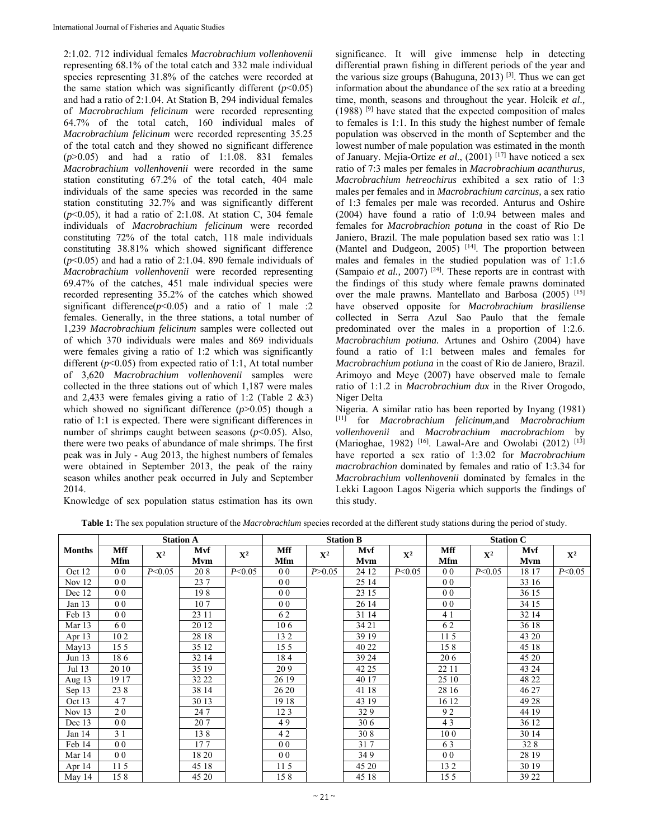2:1.02. 712 individual females *Macrobrachium vollenhovenii* representing 68.1% of the total catch and 332 male individual species representing 31.8% of the catches were recorded at the same station which was significantly different  $(p<0.05)$ and had a ratio of 2:1.04. At Station B, 294 individual females of *Macrobrachium felicinum* were recorded representing 64.7% of the total catch, 160 individual males of *Macrobrachium felicinum* were recorded representing 35.25 of the total catch and they showed no significant difference (*p*>0.05) and had a ratio of 1:1.08. 831 females *Macrobrachium vollenhovenii* were recorded in the same station constituting 67.2% of the total catch, 404 male individuals of the same species was recorded in the same station constituting 32.7% and was significantly different (*p*<0.05), it had a ratio of 2:1.08. At station C, 304 female individuals of *Macrobrachium felicinum* were recorded constituting 72% of the total catch, 118 male individuals constituting 38.81% which showed significant difference  $(p<0.05)$  and had a ratio of 2:1.04. 890 female individuals of *Macrobrachium vollenhovenii* were recorded representing 69.47% of the catches, 451 male individual species were recorded representing 35.2% of the catches which showed significant difference $(p<0.05)$  and a ratio of 1 male :2 females. Generally, in the three stations, a total number of 1,239 *Macrobrachium felicinum* samples were collected out of which 370 individuals were males and 869 individuals were females giving a ratio of 1:2 which was significantly different  $(p<0.05)$  from expected ratio of 1:1, At total number of 3,620 *Macrobrachium vollenhovenii* samples were collected in the three stations out of which 1,187 were males and 2,433 were females giving a ratio of 1:2 (Table 2 &3) which showed no significant difference  $(p>0.05)$  though a ratio of 1:1 is expected. There were significant differences in number of shrimps caught between seasons  $(p<0.05)$ . Also, there were two peaks of abundance of male shrimps. The first peak was in July - Aug 2013, the highest numbers of females were obtained in September 2013, the peak of the rainy season whiles another peak occurred in July and September 2014.

significance. It will give immense help in detecting differential prawn fishing in different periods of the year and the various size groups (Bahuguna, 2013) [3]. Thus we can get information about the abundance of the sex ratio at a breeding time, month, seasons and throughout the year. Holcik *et al.,*  (1988) [9] have stated that the expected composition of males to females is 1:1. In this study the highest number of female population was observed in the month of September and the lowest number of male population was estimated in the month of January. Mejia-Ortize *et al*., (2001) [17] have noticed a sex ratio of 7:3 males per females in *Macrobrachium acanthurus, Macrobrachium hetreochirus* exhibited a sex ratio of 1:3 males per females and in *Macrobrachium carcinus,* a sex ratio of 1:3 females per male was recorded. Anturus and Oshire (2004) have found a ratio of 1:0.94 between males and females for *Macrobrachion potuna* in the coast of Rio De Janiero, Brazil. The male population based sex ratio was 1:1 (Mantel and Dudgeon,  $2005$ ) <sup>[14]</sup>. The proportion between males and females in the studied population was of 1:1.6 (Sampaio *et al.,* 2007) [24]. These reports are in contrast with the findings of this study where female prawns dominated over the male prawns. Mantellato and Barbosa (2005) [15] have observed opposite for *Macrobrachium brasiliense*  collected in Serra Azul Sao Paulo that the female predominated over the males in a proportion of 1:2.6. *Macrobrachium potiuna.* Artunes and Oshiro (2004) have found a ratio of 1:1 between males and females for *Macrobrachium potiuna* in the coast of Rio de Janiero, Brazil. Arimoyo and Meye (2007) have observed male to female ratio of 1:1.2 in *Macrobrachium dux* in the River Orogodo, Niger Delta

Nigeria. A similar ratio has been reported by Inyang (1981) [11] for *Macrobrachium felicinum,*and *Macrobrachium vollenhovenii* and *Macrobrachium macrobrachiom* by (Marioghae, 1982) <sup>[16]</sup>. Lawal-Are and Owolabi (2012) <sup>[13]</sup> have reported a sex ratio of 1:3.02 for *Macrobrachium macrobrachion* dominated by females and ratio of 1:3.34 for *Macrobrachium vollenhovenii* dominated by females in the Lekki Lagoon Lagos Nigeria which supports the findings of this study.

Knowledge of sex population status estimation has its own

**Table 1:** The sex population structure of the *Macrobrachium* species recorded at the different study stations during the period of study.

|               | <b>Station A</b> |             |            |             | <b>Station B</b>  |                |            |             | <b>Station C</b>  |             |            |             |
|---------------|------------------|-------------|------------|-------------|-------------------|----------------|------------|-------------|-------------------|-------------|------------|-------------|
| <b>Months</b> | Mff<br>Mfm       | ${\bf X}^2$ | Mvf<br>Mvm | ${\bf X}^2$ | Mff<br><b>Mfm</b> | $\mathbf{X}^2$ | Mvf<br>Mvm | ${\bf X}^2$ | Mff<br><b>Mfm</b> | ${\bf X}^2$ | Mvf<br>Mvm | ${\bf X}^2$ |
| Oct 12        | 0 <sub>0</sub>   | P<0.05      | 208        | P<0.05      | 0 <sub>0</sub>    | P > 0.05       | 24 12      | P<0.05      | 0 <sub>0</sub>    | P<0.05      | 18 17      | P<0.05      |
| Nov $12$      | 0 <sub>0</sub>   |             | 237        |             | 0 <sub>0</sub>    |                | 25 14      |             | 0 <sub>0</sub>    |             | 33 16      |             |
| Dec 12        | 0 <sub>0</sub>   |             | 198        |             | 0 <sub>0</sub>    |                | 23 15      |             | 0 <sub>0</sub>    |             | 36 15      |             |
| Jan $13$      | 0 <sub>0</sub>   |             | 107        |             | 0 <sub>0</sub>    |                | 26 14      |             | 0 <sub>0</sub>    |             | 34 15      |             |
| Feb 13        | 0 <sub>0</sub>   |             | 23 11      |             | 62                |                | 31 14      |             | 4 1               |             | 32 14      |             |
| Mar 13        | 60               |             | 20 12      |             | 106               |                | 34 21      |             | 62                |             | 36 18      |             |
| Apr 13        | 102              |             | 28 18      |             | 132               |                | 39 19      |             | 115               |             | 43 20      |             |
| May13         | 155              |             | 35 12      |             | 155               |                | 40 22      |             | 158               |             | 45 18      |             |
| Jun 13        | 186              |             | 32 14      |             | 184               |                | 39 24      |             | 20 6              |             | 45 20      |             |
| Jul 13        | 20 10            |             | 35 19      |             | 209               |                | 42 25      |             | 22 11             |             | 43 24      |             |
| Aug $13$      | 19 17            |             | 32 22      |             | 26 19             |                | 40 17      |             | 25 10             |             | 48 22      |             |
| Sep $13$      | 238              |             | 38 14      |             | 26 20             |                | 41 18      |             | 28 16             |             | 46 27      |             |
| Oct 13        | 47               |             | 30 13      |             | 19 18             |                | 43 19      |             | 16 12             |             | 49 28      |             |
| Nov $13$      | 20               |             | 247        |             | 123               |                | 329        |             | 92                |             | 44 19      |             |
| Dec 13        | 0 <sub>0</sub>   |             | 207        |             | 49                |                | 306        |             | 43                |             | 36 12      |             |
| Jan 14        | 3 1              |             | 138        |             | 42                |                | 30 8       |             | 100               |             | 30 14      |             |
| Feb 14        | 0 <sub>0</sub>   |             | 177        |             | 0 <sub>0</sub>    |                | 317        |             | 63                |             | 328        |             |
| Mar 14        | 0 <sub>0</sub>   |             | 18 20      |             | 0 <sub>0</sub>    |                | 349        |             | 0 <sub>0</sub>    |             | 28 19      |             |
| Apr 14        | 115              |             | 45 18      |             | 115               |                | 45 20      |             | 132               |             | 30 19      |             |
| May 14        | 158              |             | 45 20      |             | 158               |                | 45 18      |             | 155               |             | 39 22      |             |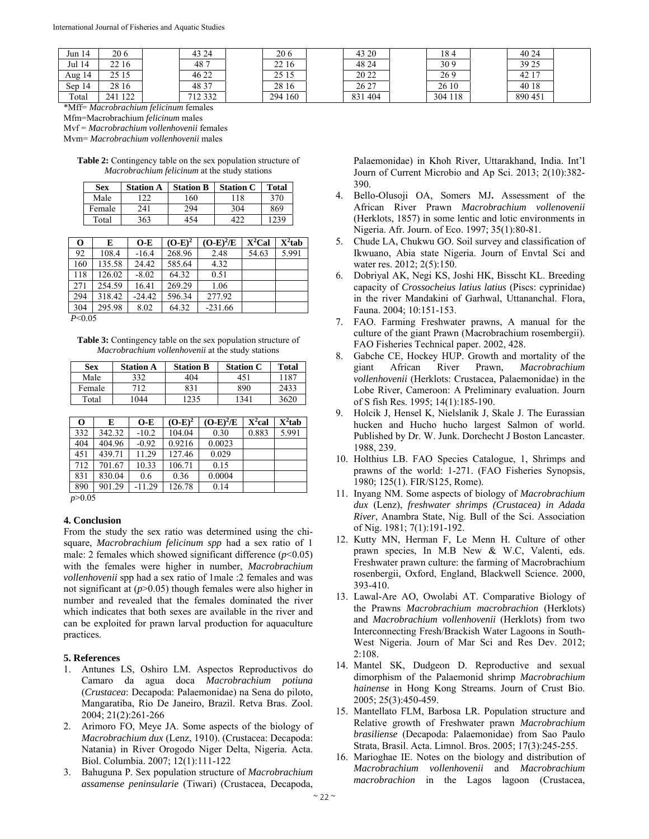| Jun 14    | 20 6    | 43 24   | 206     | 43 20   | 184     | 40 24   |  |
|-----------|---------|---------|---------|---------|---------|---------|--|
| Jul 14    | 22 16   | 487     | 22 16   | 48 24   | 309     | 39 25   |  |
| Aug 14    | 29 I.J  | 46 22   | 25 15   | 20 22   | 269     | 42 17   |  |
| 14<br>Sep | 28 16   | 48 37   | 28 16   | 26 27   | 26 10   | 40 18   |  |
| Total     | 241 122 | 712 332 | 294 160 | 831 404 | 304 118 | 890 451 |  |

\*Mff= *Macrobrachium felicinum* females

Mfm=Macrobrachium *felicinum* males

Mvf = *Macrobrachium vollenhovenii* females

Mvm= *Macrobrachium vollenhovenii* males

**Table 2:** Contingency table on the sex population structure of *Macrobrachium felicinum* at the study stations

| Sex    | <b>Station A</b> | <b>Station B</b> | <b>Station C</b> | <b>Total</b> |
|--------|------------------|------------------|------------------|--------------|
| Male   |                  | 160              | -18              | 370          |
| Female | 241              | 294              | 304              | 869          |
| Total  | 363              | 154              |                  | 1239         |

| $\mathbf 0$         | E      | $O-E$    | $(O-E)^2$ | $(O-E)^2/E$ | $X^2$ Cal | $X^2$ tab |
|---------------------|--------|----------|-----------|-------------|-----------|-----------|
| 92                  | 108.4  | $-16.4$  | 268.96    | 2.48        | 54.63     | 5.991     |
| 160                 | 135.58 | 24.42    | 585.64    | 4.32        |           |           |
| 118                 | 126.02 | $-8.02$  | 64.32     | 0.51        |           |           |
| 271                 | 254.59 | 16.41    | 269.29    | 1.06        |           |           |
| 294                 | 318.42 | $-24.42$ | 596.34    | 277.92      |           |           |
| 304                 | 295.98 | 8.02     | 64.32     | $-231.66$   |           |           |
| $D \neq 0$ $\cap F$ |        |          |           |             |           |           |

*P*<0.05

**Table 3:** Contingency table on the sex population structure of *Macrobrachium vollenhovenii* at the study stations

| Sex    | <b>Station A</b> | <b>Station B</b> | <b>Station C</b> | <b>Total</b> |
|--------|------------------|------------------|------------------|--------------|
| Male   | 332              | 404              | 451              | -187         |
| Female | 712              | 831              | 890              | 2433         |
| Total  | 1044             | 1235             | 1341             | 3620         |

| O   | E      | $O-E$    | $(O-E)^2$ | $(O-E)^2/E$ | X <sup>2</sup> cal | $X^2$ tab |
|-----|--------|----------|-----------|-------------|--------------------|-----------|
| 332 | 342.32 | $-10.2$  | 104.04    | 0.30        | 0.883              | 5.991     |
| 404 | 404.96 | $-0.92$  | 0.9216    | 0.0023      |                    |           |
| 451 | 439.71 | 11.29    | 127.46    | 0.029       |                    |           |
| 712 | 701.67 | 10.33    | 106.71    | 0.15        |                    |           |
| 831 | 830.04 | 0.6      | 0.36      | 0.0004      |                    |           |
| 890 | 901.29 | $-11.29$ | 126.78    | 0.14        |                    |           |

*p*>0.05

# **4. Conclusion**

From the study the sex ratio was determined using the chisquare, *Macrobrachium felicinum spp* had a sex ratio of 1 male: 2 females which showed significant difference (*p*<0.05) with the females were higher in number, *Macrobrachium vollenhovenii* spp had a sex ratio of 1male :2 females and was not significant at (*p*>0.05) though females were also higher in number and revealed that the females dominated the river which indicates that both sexes are available in the river and can be exploited for prawn larval production for aquaculture practices.

# **5. References**

- 1. Antunes LS, Oshiro LM. Aspectos Reproductivos do Camaro da agua doca *Macrobrachium potiuna*  (*Crustacea*: Decapoda: Palaemonidae) na Sena do piloto, Mangaratiba, Rio De Janeiro, Brazil. Retva Bras. Zool. 2004; 21(2):261-266
- 2. Arimoro FO, Meye JA. Some aspects of the biology of *Macrobrachium dux* (Lenz, 1910). (Crustacea: Decapoda: Natania) in River Orogodo Niger Delta, Nigeria. Acta. Biol. Columbia. 2007; 12(1):111-122
- 3. Bahuguna P. Sex population structure of *Macrobrachium assamense peninsularie* (Tiwari) (Crustacea, Decapoda,

Palaemonidae) in Khoh River, Uttarakhand, India. Int'l Journ of Current Microbio and Ap Sci. 2013; 2(10):382- 390.

- 4. Bello-Olusoji OA, Somers MJ**.** Assessment of the African River Prawn *Macrobrachium vollenovenii*  (Herklots, 1857) in some lentic and lotic environments in Nigeria. Afr. Journ. of Eco. 1997; 35(1):80-81.
- 5. Chude LA, Chukwu GO. Soil survey and classification of Ikwuano, Abia state Nigeria. Journ of Envtal Sci and water res. 2012; 2(5):150.
- 6. Dobriyal AK, Negi KS, Joshi HK, Bisscht KL. Breeding capacity of *Crossocheius latius latius* (Piscs: cyprinidae) in the river Mandakini of Garhwal, Uttananchal. Flora, Fauna. 2004; 10:151-153.
- 7. FAO. Farming Freshwater prawns, A manual for the culture of the giant Prawn (Macrobrachium rosembergii). FAO Fisheries Technical paper. 2002, 428.
- 8. Gabche CE, Hockey HUP. Growth and mortality of the giant African River Prawn, *Macrobrachium vollenhovenii* (Herklots: Crustacea, Palaemonidae) in the Lobe River, Cameroon: A Preliminary evaluation. Journ of S fish Res. 1995; 14(1):185-190.
- 9. Holcik J, Hensel K, Nielslanik J, Skale J. The Eurassian hucken and Hucho hucho largest Salmon of world. Published by Dr. W. Junk. Dorchecht J Boston Lancaster. 1988, 239.
- 10. Holthius LB. FAO Species Catalogue, 1, Shrimps and prawns of the world: 1-271. (FAO Fisheries Synopsis, 1980; 125(1). FIR/S125, Rome).
- 11. Inyang NM. Some aspects of biology of *Macrobrachium dux* (Lenz), *freshwater shrimps (Crustacea) in Adada River*, Anambra State, Nig. Bull of the Sci. Association of Nig. 1981; 7(1):191-192.
- 12. Kutty MN, Herman F, Le Menn H. Culture of other prawn species, In M.B New & W.C, Valenti, eds. Freshwater prawn culture: the farming of Macrobrachium rosenbergii, Oxford, England, Blackwell Science. 2000, 393-410.
- 13. Lawal-Are AO, Owolabi AT. Comparative Biology of the Prawns *Macrobrachium macrobrachion* (Herklots) and *Macrobrachium vollenhovenii* (Herklots) from two Interconnecting Fresh/Brackish Water Lagoons in South-West Nigeria. Journ of Mar Sci and Res Dev. 2012; 2:108.
- 14. Mantel SK, Dudgeon D. Reproductive and sexual dimorphism of the Palaemonid shrimp *Macrobrachium hainense* in Hong Kong Streams. Journ of Crust Bio. 2005; 25(3):450-459.
- 15. Mantellato FLM, Barbosa LR. Population structure and Relative growth of Freshwater prawn *Macrobrachium brasiliense* (Decapoda: Palaemonidae) from Sao Paulo Strata, Brasil. Acta. Limnol. Bros. 2005; 17(3):245-255.
- 16. Marioghae IE. Notes on the biology and distribution of *Macrobrachium vollenhovenii* and *Macrobrachium macrobrachion* in the Lagos lagoon (Crustacea,